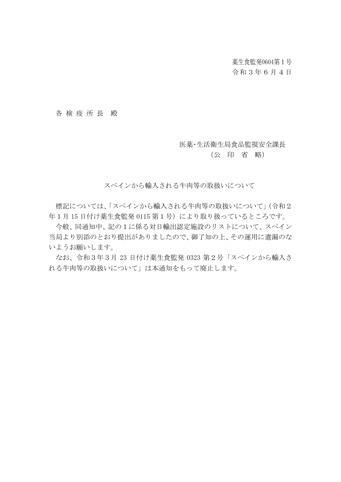薬生食監発0604第1号

# 令和3年6月4日

### 各 検 疫 所 長 殿

### 医薬・生活衛生局食品監視安全課長

### (公 印 省 略)

スペインから輸入される牛肉等の取扱いについて

標記については、「スペインから輸入される牛肉等の取扱いについて」(令和2 年1月 15 日付け薬生食監発 0115 第1号)により取り扱っているところです。

今般、同通知中、記の1に係る対日輸出認定施設のリストについて、スペイン 当局より別添のとおり提出がありましたので、御了知の上、その運用に遺漏のな いようお願いします。

なお、令和3年3月 23 日付け薬生食監発 0323 第2号「スペインから輸入さ れる牛肉等の取扱いについて」は本通知をもって廃止します。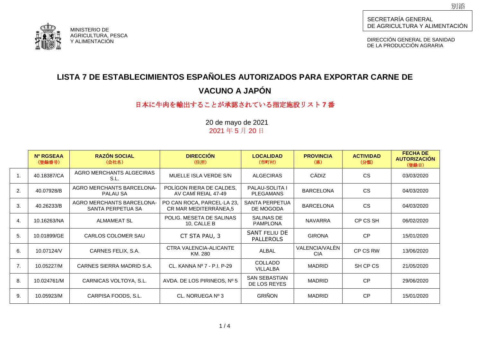

DIRECCIÓN GENERAL DE SANIDAD DE LA PRODUCCIÓN AGRARIA

# **LISTA 7 DE ESTABLECIMIENTOS ESPAÑOLES AUTORIZADOS PARA EXPORTAR CARNE DE VACUNO A JAPÓN**

# 日本に牛肉を輸出することが承認されている指定施設リスト **7** 番

|                  | Nº RGSEAA<br>(登録番号) | <b>RAZÓN SOCIAL</b><br>(会社名)                          | <b>DIRECCIÓN</b><br>(住所)                            | <b>LOCALIDAD</b><br>(市町村)                 | <b>PROVINCIA</b><br>(県)      | <b>ACTIVIDAD</b><br>(分類) | <b>FECHA DE</b><br><b>AUTORIZACION</b><br>(登録日) |
|------------------|---------------------|-------------------------------------------------------|-----------------------------------------------------|-------------------------------------------|------------------------------|--------------------------|-------------------------------------------------|
| $\overline{1}$ . | 40.18387/CA         | AGRO MERCHANTS ALGECIRAS<br>S.L.                      | MUELLE ISLA VERDE S/N                               | <b>ALGECIRAS</b>                          | CÁDIZ                        | <b>CS</b>                | 03/03/2020                                      |
| 2.               | 40.07928/B          | AGRO MERCHANTS BARCELONA-<br>PALAU SA                 | POLÍGON RIERA DE CALDES,<br>AV CAMÍ REIAL 47-49     | <b>PALAU-SOLITA I</b><br><b>PLEGAMANS</b> | <b>BARCELONA</b>             | <b>CS</b>                | 04/03/2020                                      |
| 3.               | 40.26233/B          | <b>AGRO MERCHANTS BARCELONA-</b><br>SANTA PERPETUA SA | PO CAN ROCA, PARCEL·LA 23,<br>CR MAR MEDITERRÀNEA,5 | <b>SANTA PERPETUA</b><br>DE MOGODA        | <b>BARCELONA</b>             | <b>CS</b>                | 04/03/2020                                      |
| 4.               | 10.16263/NA         | <b>ALMAMEAT SL</b>                                    | POLIG. MESETA DE SALINAS<br>10, CALLE B             | SALINAS DE<br><b>PAMPLONA</b>             | <b>NAVARRA</b>               | CP CS SH                 | 06/02/2020                                      |
| 5.               | 10.01899/GE         | CARLOS COLOMER SAU                                    | CT STA PAU, 3                                       | <b>SANT FELIU DE</b><br><b>PALLEROLS</b>  | <b>GIRONA</b>                | <b>CP</b>                | 15/01/2020                                      |
| 6.               | 10.07124/V          | CARNES FELIX, S.A.                                    | CTRA VALENCIA-ALICANTE<br>KM. 280                   | ALBAL                                     | VALENCIA/VALÉN<br><b>CIA</b> | CP CS RW                 | 13/06/2020                                      |
| 7.               | 10.05227/M          | CARNES SIERRA MADRID S.A.                             | CL. KANNA Nº 7 - P.I. P-29                          | <b>COLLADO</b><br><b>VILLALBA</b>         | <b>MADRID</b>                | SH CP CS                 | 21/05/2020                                      |
| 8.               | 10.024761/M         | CARNICAS VOLTOYA, S.L.                                | AVDA. DE LOS PIRINEOS, Nº 5                         | <b>SAN SEBASTIAN</b><br>DE LOS REYES      | <b>MADRID</b>                | <b>CP</b>                | 29/06/2020                                      |
| 9.               | 10.05923/M          | CARPISA FOODS, S.L.                                   | CL. NORUEGA Nº 3                                    | <b>GRIÑON</b>                             | <b>MADRID</b>                | <b>CP</b>                | 15/01/2020                                      |

20 de mayo de 2021 2021 年 5 月 20 日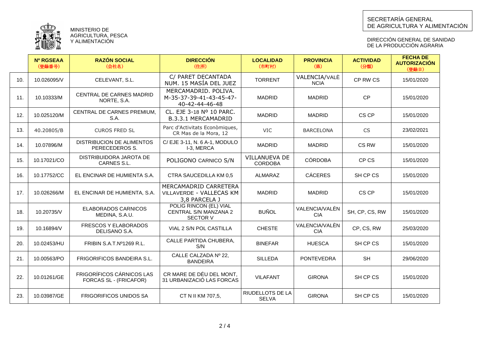

DIRECCIÓN GENERAL DE SANIDAD DE LA PRODUCCION AGRARIA

|     | <b>Nº RGSEAA</b><br>(登録番号) | <b>RAZÓN SOCIAL</b><br>(会社名)                               | <b>DIRECCIÓN</b><br>(住所)                                           | <b>LOCALIDAD</b><br>(市町村)              | <b>PROVINCIA</b><br>(県)      | <b>ACTIVIDAD</b><br>(分類) | <b>FECHA DE</b><br><b>AUTORIZACIÓN</b><br>(登録日) |
|-----|----------------------------|------------------------------------------------------------|--------------------------------------------------------------------|----------------------------------------|------------------------------|--------------------------|-------------------------------------------------|
| 10. | 10.026095/V                | CELEVANT, S.L.                                             | C/ PARET DECANTADA<br>NUM. 15 MASÍA DEL JUEZ                       | <b>TORRENT</b>                         | VALENCIA/VALÈ<br><b>NCIA</b> | CP RW CS                 | 15/01/2020                                      |
| 11. | 10.10333/M                 | CENTRAL DE CARNES MADRID<br>NORTE, S.A.                    | MERCAMADRID, POLIVA,<br>M-35-37-39-41-43-45-47-<br>40-42-44-46-48  | <b>MADRID</b>                          | <b>MADRID</b>                | <b>CP</b>                | 15/01/2020                                      |
| 12. | 10.025120/M                | CENTRAL DE CARNES PREMIUM,<br>S.A.                         | CL. EJE 3-18 Nº 10 PARC.<br><b>B.3.3.1 MERCAMADRID</b>             | <b>MADRID</b>                          | <b>MADRID</b>                | CS CP                    | 15/01/2020                                      |
| 13. | 40.20805/B                 | <b>CUROS FRED SL</b>                                       | Parc d'Activitats Econòmiques,<br>CR Mas de la Mora, 12            | <b>VIC</b>                             | <b>BARCELONA</b>             | <b>CS</b>                | 23/02/2021                                      |
| 14. | 10.07896/M                 | <b>DISTRIBUCION DE ALIMENTOS</b><br>PERECEDEROS S.         | C/ EJE 3-11, N. 6 A-1, MODULO<br>I-3, MERCA                        | <b>MADRID</b>                          | <b>MADRID</b>                | CS RW                    | 15/01/2020                                      |
| 15. | 10.17021/CO                | DISTRIBUIDORA JAROTA DE<br>CARNES S.L.                     | POLIGONO CARNICO S/N                                               | <b>VILLANUEVA DE</b><br><b>CORDOBA</b> | <b>CÓRDOBA</b>               | CP CS                    | 15/01/2020                                      |
| 16. | 10.17752/CC                | EL ENCINAR DE HUMIENTA S.A.                                | CTRA SAUCEDILLA KM 0,5                                             | ALMARAZ                                | <b>CÁCERES</b>               | SH CP CS                 | 15/01/2020                                      |
| 17. | 10.026266/M                | EL ENCINAR DE HUMIENTA, S.A.                               | MERCAMADRID CARRETERA<br>VILLAVERDE - VALLECAS KM<br>3,8 PARCELA J | <b>MADRID</b>                          | <b>MADRID</b>                | CS CP                    | 15/01/2020                                      |
| 18. | 10.20735/V                 | <b>ELABORADOS CARNICOS</b><br>MEDINA, S.A.U.               | POLIG RINCON (EL) VIAL<br>CENTRAL S/N MANZANA 2<br><b>SECTOR V</b> | <b>BUÑOL</b>                           | VALENCIA/VALÈN<br><b>CIA</b> | SH, CP, CS, RW           | 15/01/2020                                      |
| 19. | 10.16894/V                 | <b>FRESCOS Y ELABORADOS</b><br>DELISANO S.A.               | VIAL 2 S/N POL CASTILLA                                            | <b>CHESTE</b>                          | VALENCIA/VALÈN<br><b>CIA</b> | CP, CS, RW               | 25/03/2020                                      |
| 20. | 10.02453/HU                | FRIBIN S.A.T.Nº1269 R.L.                                   | CALLE PARTIDA CHUBERA,<br>S/N                                      | <b>BINEFAR</b>                         | <b>HUESCA</b>                | SH CP CS                 | 15/01/2020                                      |
| 21. | 10.00563/PO                | FRIGORIFICOS BANDEIRA S.L.                                 | CALLE CALZADA Nº 22,<br><b>BANDEIRA</b>                            | <b>SILLEDA</b>                         | <b>PONTEVEDRA</b>            | <b>SH</b>                | 29/06/2020                                      |
| 22. | 10.01261/GE                | <b>FRIGORÍFICOS CÁRNICOS LAS</b><br>FORCAS SL - (FRICAFOR) | CR MARE DE DÉU DEL MONT,<br>31 URBANIZACIÓ LAS FORCAS              | <b>VILAFANT</b>                        | <b>GIRONA</b>                | SH CP CS                 | 15/01/2020                                      |
| 23. | 10.03987/GE                | <b>FRIGORIFICOS UNIDOS SA</b>                              | CT N II KM 707,5,                                                  | RIUDELLOTS DE LA<br><b>SELVA</b>       | <b>GIRONA</b>                | SH CP CS                 | 15/01/2020                                      |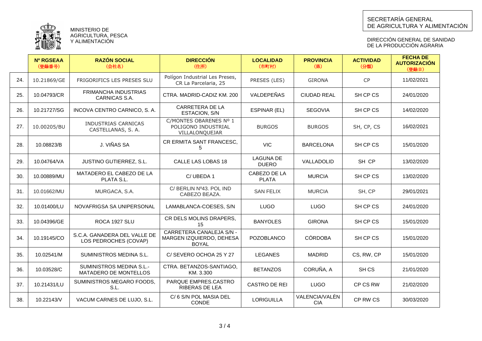

MINISTERIO DE AGRICULTURA, PESCA Y ALIMENTACION

#### DIRECCIÓN GENERAL DE SANIDAD DE LA PRODUCCION AGRARIA

|     | <b>Nº RGSEAA</b><br>(登録番号) | <b>RAZÓN SOCIAL</b><br>(会社名)                          | <b>DIRECCIÓN</b><br>(住所)                                             | <b>LOCALIDAD</b><br>(市町村)        | <b>PROVINCIA</b><br>(県)      | <b>ACTIVIDAD</b><br>(分類) | <b>FECHA DE</b><br><b>AUTORIZACIÓN</b><br>(登録日) |
|-----|----------------------------|-------------------------------------------------------|----------------------------------------------------------------------|----------------------------------|------------------------------|--------------------------|-------------------------------------------------|
| 24. | 10.21869/GE                | FRIGORIFICS LES PRESES SLU                            | Polígon Industrial Les Preses,<br>CR La Parcelaria, 25               | PRESES (LES)                     | <b>GIRONA</b>                | <b>CP</b>                | 11/02/2021                                      |
| 25. | 10.04793/CR                | FRIMANCHA INDUSTRIAS<br>CARNICAS S.A.                 | CTRA, MADRID-CADIZ KM, 200                                           | VALDEPEÑAS                       | <b>CIUDAD REAL</b>           | SH CP CS                 | 24/01/2020                                      |
| 26. | 10.21727/SG                | INCOVA CENTRO CARNICO, S. A.                          | CARRETERA DE LA<br>ESTACION, S/N                                     | ESPINAR (EL)                     | <b>SEGOVIA</b>               | SH CP CS                 | 14/02/2020                                      |
| 27. | 10.00205/BU                | INDUSTRIAS CARNICAS<br>CASTELLANAS, S.A.              | C/MONTES OBARENES Nº 1<br>POLIGONO INDUSTRIAL<br>VILLALONQUEJAR      | <b>BURGOS</b>                    | <b>BURGOS</b>                | SH, CP, CS               | 16/02/2021                                      |
| 28. | 10.08823/B                 | J. VIÑAS SA                                           | CR ERMITA SANT FRANCESC,<br>5                                        | <b>VIC</b>                       | <b>BARCELONA</b>             | SH CP CS                 | 15/01/2020                                      |
| 29. | 10.04764/VA                | JUSTINO GUTIERREZ, S.L.                               | CALLE LAS LOBAS 18                                                   | <b>LAGUNA DE</b><br><b>DUERO</b> | VALLADOLID                   | SH CP                    | 13/02/2020                                      |
| 30. | 10.00889/MU                | MATADERO EL CABEZO DE LA<br>PLATA S.L.                | C/UBEDA 1                                                            | CABEZO DE LA<br><b>PLATA</b>     | <b>MURCIA</b>                | SH CP CS                 | 13/02/2020                                      |
| 31. | 10.01662/MU                | MURGACA, S.A.                                         | C/ BERLIN Nº43. POL IND<br>CABEZO BEAZA.                             | <b>SAN FELIX</b>                 | <b>MURCIA</b>                | SH, CP                   | 29/01/2021                                      |
| 32. | 10.01400/LU                | NOVAFRIGSA SA UNIPERSONAL                             | LAMABLANCA-COESES, S/N                                               | LUGO                             | <b>LUGO</b>                  | SH CP CS                 | 24/01/2020                                      |
| 33. | 10.04396/GE                | ROCA 1927 SLU                                         | CR DELS MOLINS DRAPERS,<br>15                                        | <b>BANYOLES</b>                  | <b>GIRONA</b>                | SH CP CS                 | 15/01/2020                                      |
| 34. | 10.19145/CO                | S.C.A. GANADERA DEL VALLE DE<br>LOS PEDROCHES (COVAP) | CARRETERA CANALEJA S/N -<br>MARGEN IZQUIERDO, DEHESA<br><b>BOYAL</b> | <b>POZOBLANCO</b>                | <b>CÓRDOBA</b>               | SH CP CS                 | 15/01/2020                                      |
| 35. | 10.02541/M                 | SUMINISTROS MEDINA S.L.                               | C/SEVERO OCHOA 25 Y 27                                               | <b>LEGANES</b>                   | <b>MADRID</b>                | CS, RW, CP               | 15/01/2020                                      |
| 36. | 10.03528/C                 | SUMINISTROS MEDINA S.L.-<br>MATADERO DE MONTELLOS     | CTRA. BETANZOS-SANTIAGO,<br>KM. 3.300                                | <b>BETANZOS</b>                  | CORUÑA, A                    | SH <sub>CS</sub>         | 21/01/2020                                      |
| 37. | 10.21431/LU                | SUMINISTROS MEGARO FOODS,<br>S.L.                     | PARQUE EMPRES.CASTRO<br>RIBERAS DE LEA                               | CASTRO DE REI                    | <b>LUGO</b>                  | CP CS RW                 | 21/02/2020                                      |
| 38. | 10.22143/V                 | VACUM CARNES DE LUJO, S.L.                            | C/6 S/N POL MASIA DEL<br>CONDE                                       | <b>LORIGUILLA</b>                | VALENCIA/VALÈN<br><b>CIA</b> | CP RW CS                 | 30/03/2020                                      |